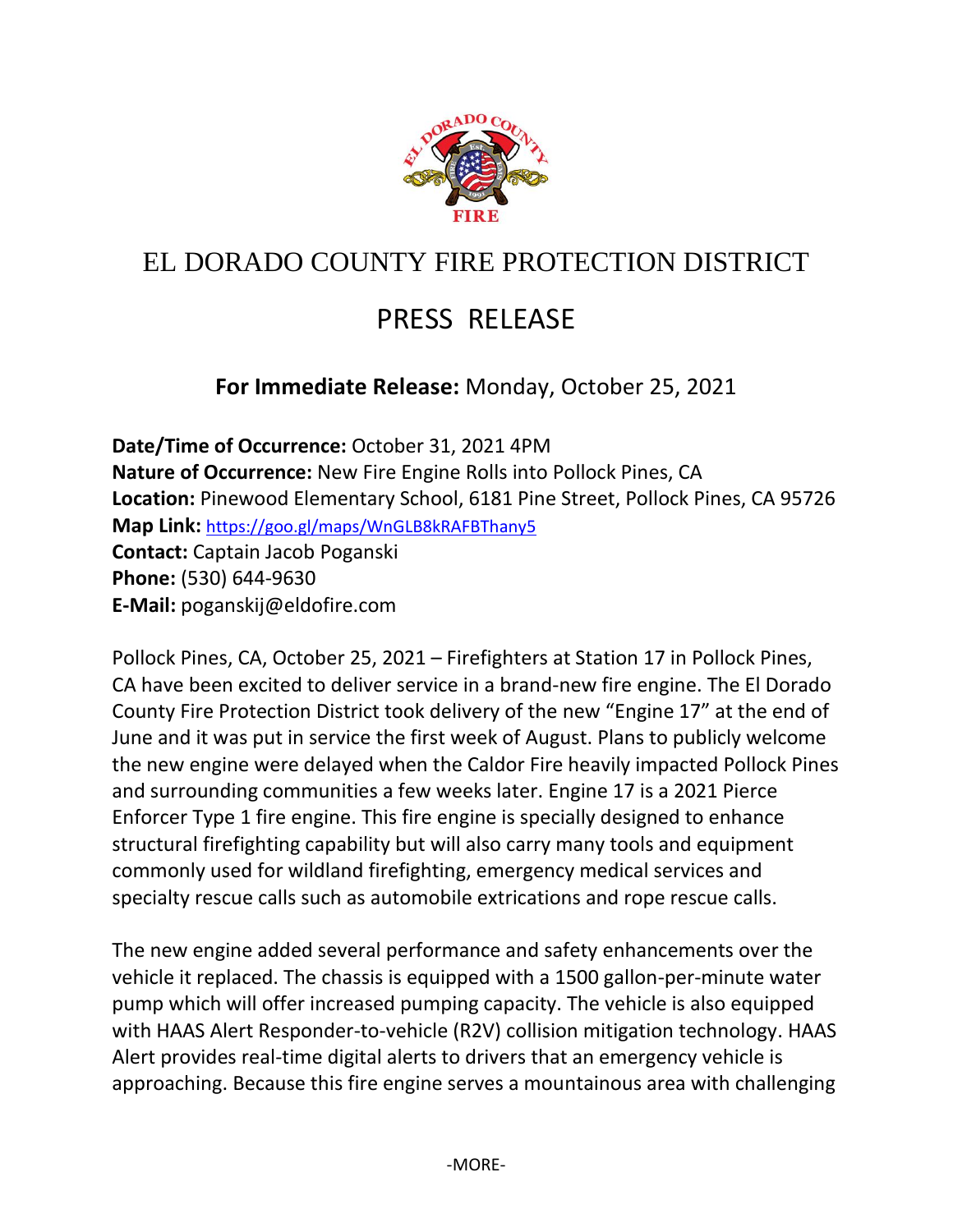

## EL DORADO COUNTY FIRE PROTECTION DISTRICT

## PRESS RELEASE

## **For Immediate Release:** Monday, October 25, 2021

**Date/Time of Occurrence:** October 31, 2021 4PM **Nature of Occurrence:** New Fire Engine Rolls into Pollock Pines, CA **Location:** Pinewood Elementary School, 6181 Pine Street, Pollock Pines, CA 95726 **Map Link:** <https://goo.gl/maps/WnGLB8kRAFBThany5> **Contact:** Captain Jacob Poganski **Phone:** (530) 644-9630 **E-Mail:** poganskij@eldofire.com

Pollock Pines, CA, October 25, 2021 – Firefighters at Station 17 in Pollock Pines, CA have been excited to deliver service in a brand-new fire engine. The El Dorado County Fire Protection District took delivery of the new "Engine 17" at the end of June and it was put in service the first week of August. Plans to publicly welcome the new engine were delayed when the Caldor Fire heavily impacted Pollock Pines and surrounding communities a few weeks later. Engine 17 is a 2021 Pierce Enforcer Type 1 fire engine. This fire engine is specially designed to enhance structural firefighting capability but will also carry many tools and equipment commonly used for wildland firefighting, emergency medical services and specialty rescue calls such as automobile extrications and rope rescue calls.

The new engine added several performance and safety enhancements over the vehicle it replaced. The chassis is equipped with a 1500 gallon-per-minute water pump which will offer increased pumping capacity. The vehicle is also equipped with HAAS Alert Responder-to-vehicle (R2V) collision mitigation technology. HAAS Alert provides real-time digital alerts to drivers that an emergency vehicle is approaching. Because this fire engine serves a mountainous area with challenging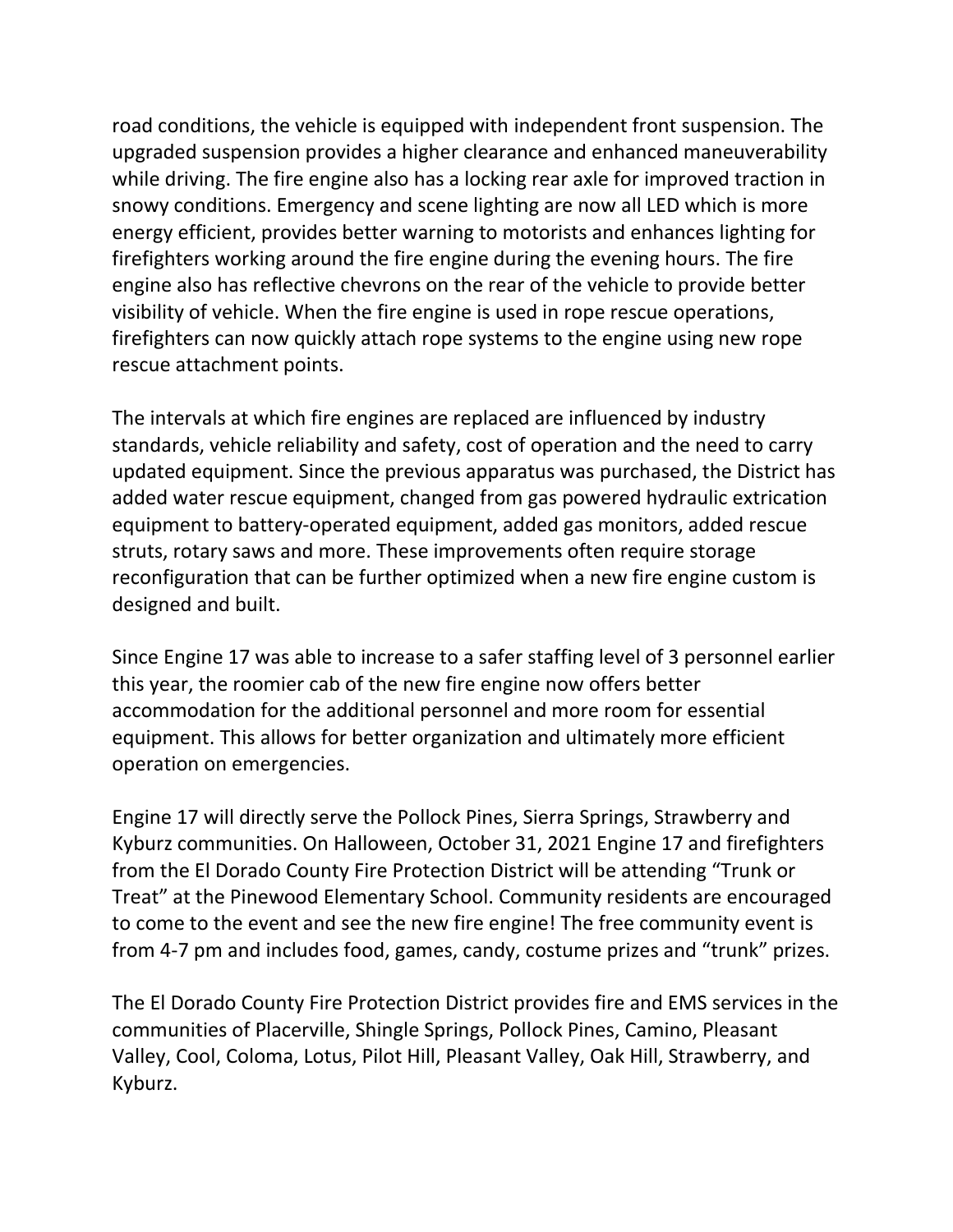road conditions, the vehicle is equipped with independent front suspension. The upgraded suspension provides a higher clearance and enhanced maneuverability while driving. The fire engine also has a locking rear axle for improved traction in snowy conditions. Emergency and scene lighting are now all LED which is more energy efficient, provides better warning to motorists and enhances lighting for firefighters working around the fire engine during the evening hours. The fire engine also has reflective chevrons on the rear of the vehicle to provide better visibility of vehicle. When the fire engine is used in rope rescue operations, firefighters can now quickly attach rope systems to the engine using new rope rescue attachment points.

The intervals at which fire engines are replaced are influenced by industry standards, vehicle reliability and safety, cost of operation and the need to carry updated equipment. Since the previous apparatus was purchased, the District has added water rescue equipment, changed from gas powered hydraulic extrication equipment to battery-operated equipment, added gas monitors, added rescue struts, rotary saws and more. These improvements often require storage reconfiguration that can be further optimized when a new fire engine custom is designed and built.

Since Engine 17 was able to increase to a safer staffing level of 3 personnel earlier this year, the roomier cab of the new fire engine now offers better accommodation for the additional personnel and more room for essential equipment. This allows for better organization and ultimately more efficient operation on emergencies.

Engine 17 will directly serve the Pollock Pines, Sierra Springs, Strawberry and Kyburz communities. On Halloween, October 31, 2021 Engine 17 and firefighters from the El Dorado County Fire Protection District will be attending "Trunk or Treat" at the Pinewood Elementary School. Community residents are encouraged to come to the event and see the new fire engine! The free community event is from 4-7 pm and includes food, games, candy, costume prizes and "trunk" prizes.

The El Dorado County Fire Protection District provides fire and EMS services in the communities of Placerville, Shingle Springs, Pollock Pines, Camino, Pleasant Valley, Cool, Coloma, Lotus, Pilot Hill, Pleasant Valley, Oak Hill, Strawberry, and Kyburz.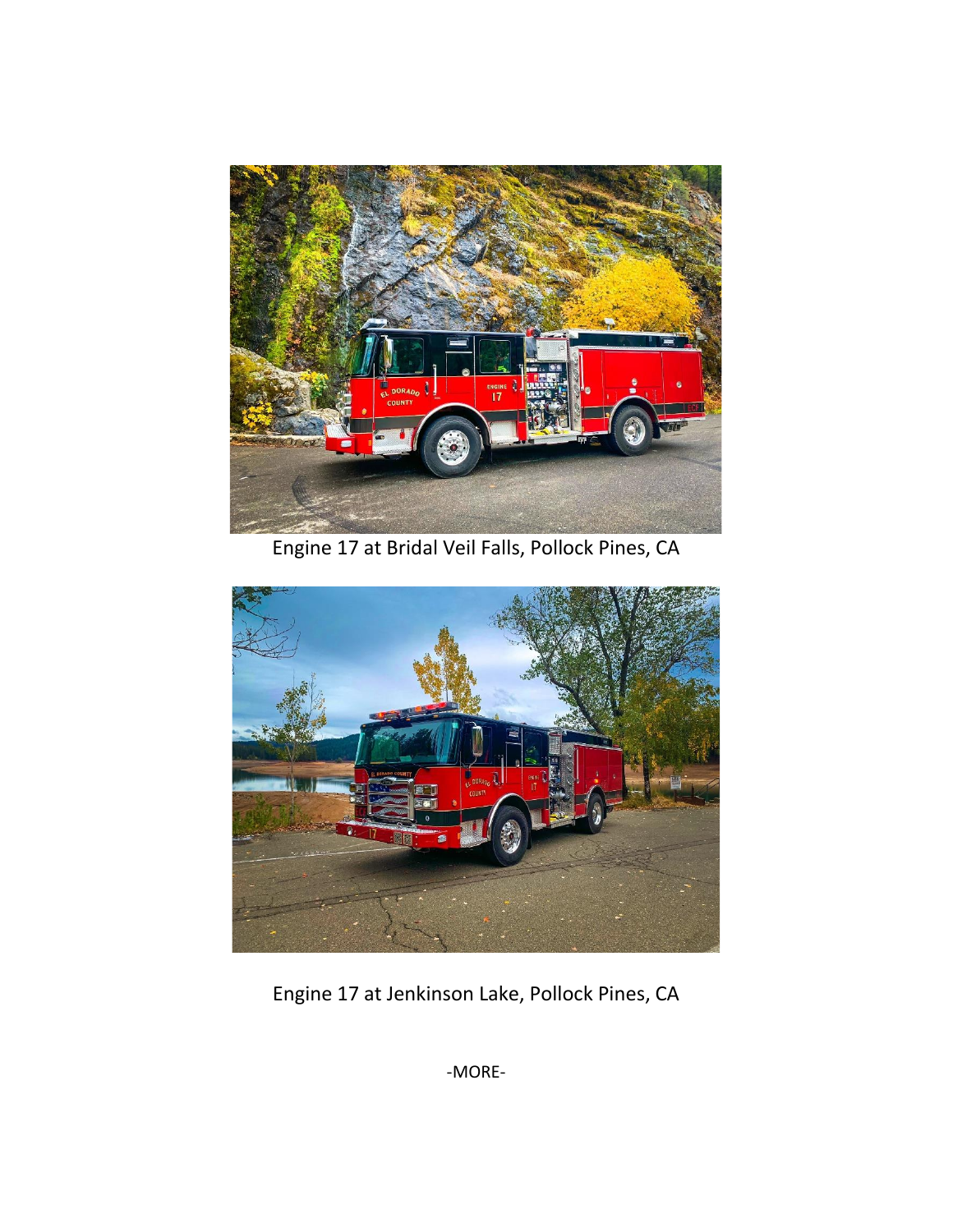

Engine 17 at Bridal Veil Falls, Pollock Pines, CA



Engine 17 at Jenkinson Lake, Pollock Pines, CA

-MORE-